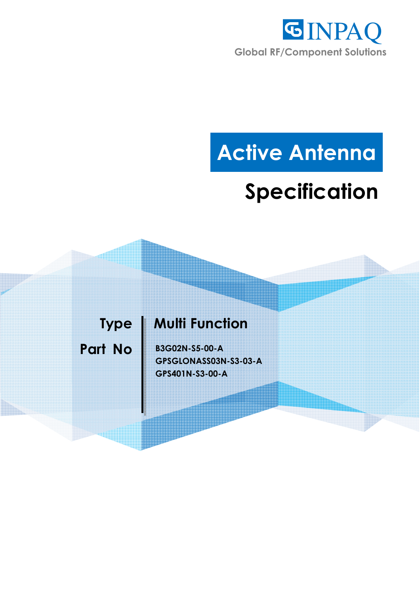

# **Active Antenna**

## **Specification**

### **Type | Multi Function**

**Part No | B3G02N-S5-00-A GPSGLONASS03N-S3-03-A GPS401N-S3-00-A**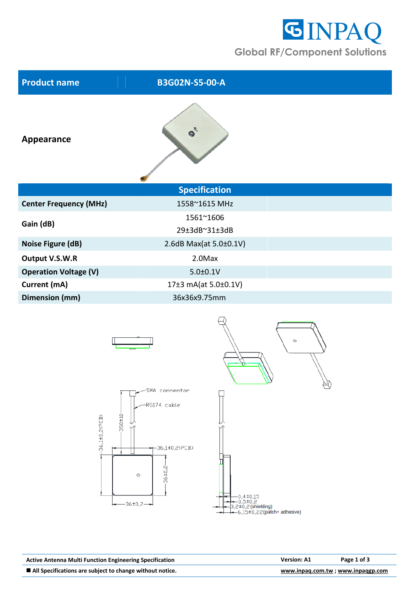

| <b>B3G02N-S5-00-A</b>        |  |
|------------------------------|--|
| $\mathcal{E}_c$<br>$\bullet$ |  |
| <b>Specification</b>         |  |
| 1558~1615 MHz                |  |
| 1561~1606<br>29±3dB~31±3dB   |  |
| 2.6dB Max(at 5.0±0.1V)       |  |
| 2.0Max                       |  |
| $5.0 \pm 0.1$ V              |  |
| 17±3 mA(at 5.0±0.1V)         |  |
| 36x36x9.75mm                 |  |
|                              |  |



| <b>Active Antenna Multi Function Engineering Specification</b> | <b>Version: A1</b>                | Page 1 of 3 |
|----------------------------------------------------------------|-----------------------------------|-------------|
| ■ All Specifications are subject to change without notice.     | www.inpag.com.tw; www.inpaggp.com |             |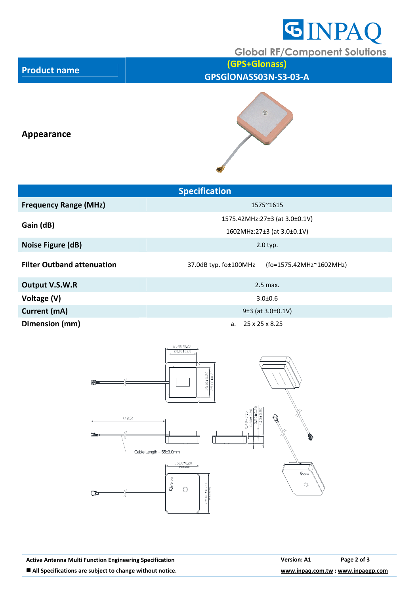

**Global RF/Component Solutions** 

**Product name (GPS+Glonass) GPSGlONASS03N-S3-03-A**

#### **Appearance**



| <b>Specification</b>              |                                                  |  |  |  |
|-----------------------------------|--------------------------------------------------|--|--|--|
| <b>Frequency Range (MHz)</b>      | 1575~1615                                        |  |  |  |
|                                   | 1575.42MHz:27±3 (at 3.0±0.1V)                    |  |  |  |
| Gain (dB)                         | 1602MHz:27±3 (at 3.0±0.1V)                       |  |  |  |
| Noise Figure (dB)                 | $2.0$ typ.                                       |  |  |  |
| <b>Filter Outband attenuation</b> | 37.0dB typ. fo±100MHz<br>(fo=1575.42MHz~1602MHz) |  |  |  |
| Output V.S.W.R                    | $2.5$ max.                                       |  |  |  |
| Voltage (V)                       | $3.0 \pm 0.6$                                    |  |  |  |
| Current (mA)                      | 9±3 (at 3.0±0.1V)                                |  |  |  |
| Dimension (mm)                    | a. $25 \times 25 \times 8.25$                    |  |  |  |



Active Antenna Multi Function Engineering Specification **Version: A1** Page 2 of 3 **All Specifications are subject to change without notice.** We are the state of the state of the state of the state of  $\frac{www.inpaq.com.tw}{www.inpaq.com.tw}$ ; www.inpaqgp.com